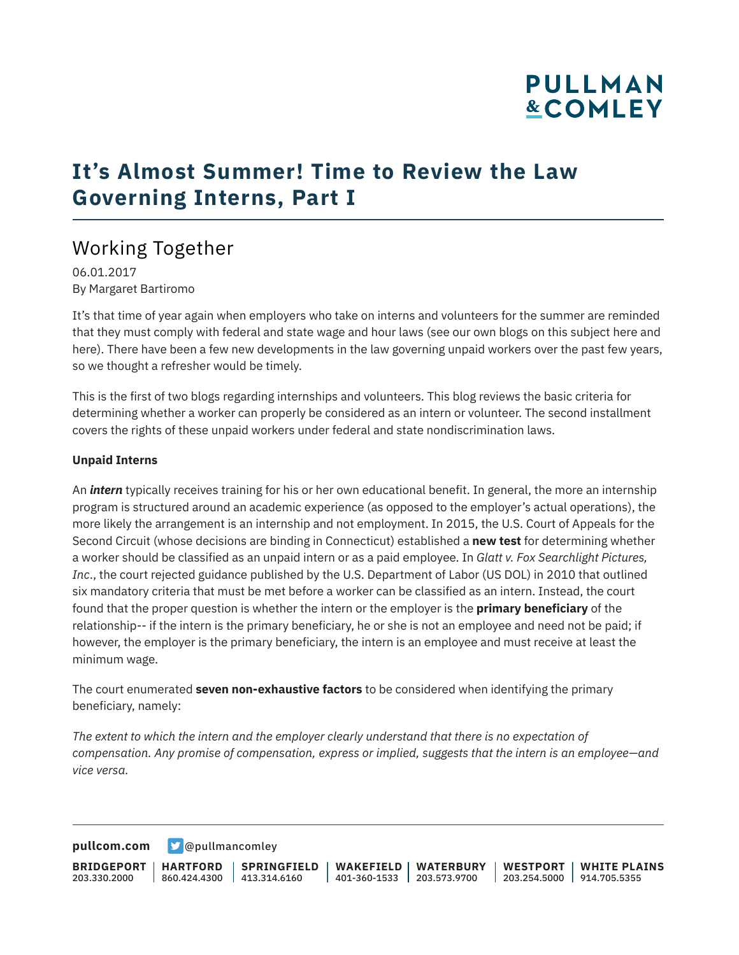# **PULLMAN &COMLEY**

## **It's Almost Summer! Time to Review the Law Governing Interns, Part I**

### Working Together

06.01.2017 By Margaret Bartiromo

It's that time of year again when employers who take on interns and volunteers for the summer are reminded that they must comply with federal and state wage and hour laws (see our own blogs on this subject here and here). There have been a few new developments in the law governing unpaid workers over the past few years, so we thought a refresher would be timely.

This is the first of two blogs regarding internships and volunteers. This blog reviews the basic criteria for determining whether a worker can properly be considered as an intern or volunteer. The second installment covers the rights of these unpaid workers under federal and state nondiscrimination laws.

#### **Unpaid Interns**

An *intern* typically receives training for his or her own educational benefit. In general, the more an internship program is structured around an academic experience (as opposed to the employer's actual operations), the more likely the arrangement is an internship and not employment. In 2015, the U.S. Court of Appeals for the Second Circuit (whose decisions are binding in Connecticut) established a **new test** for determining whether a worker should be classified as an unpaid intern or as a paid employee. In *Glatt v. Fox Searchlight Pictures, Inc*., the court rejected guidance published by the U.S. Department of Labor (US DOL) in 2010 that outlined six mandatory criteria that must be met before a worker can be classified as an intern. Instead, the court found that the proper question is whether the intern or the employer is the **primary beneficiary** of the relationship-- if the intern is the primary beneficiary, he or she is not an employee and need not be paid; if however, the employer is the primary beneficiary, the intern is an employee and must receive at least the minimum wage.

The court enumerated **seven non-exhaustive factors** to be considered when identifying the primary beneficiary, namely:

*The extent to which the intern and the employer clearly understand that there is no expectation of compensation. Any promise of compensation, express or implied, suggests that the intern is an employee—and vice versa.*

**[pullcom.com](https://www.pullcom.com) g** [@pullmancomley](https://twitter.com/PullmanComley)

**BRIDGEPORT** 203.330.2000 **HARTFORD** 860.424.4300 413.314.6160 **SPRINGFIELD WAKEFIELD WATERBURY** 401-360-1533 203.573.9700 **WESTPORT WHITE PLAINS** 203.254.5000 914.705.5355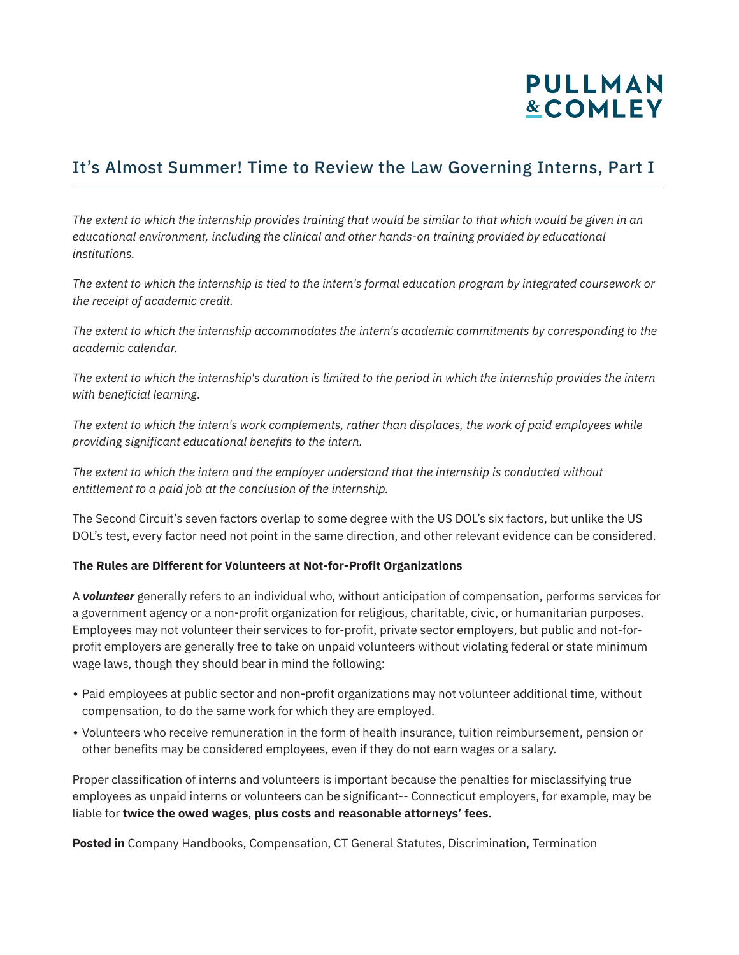# **PULLMAN &COMLEY**

#### It's Almost Summer! Time to Review the Law Governing Interns, Part I

*The extent to which the internship provides training that would be similar to that which would be given in an educational environment, including the clinical and other hands-on training provided by educational institutions.*

*The extent to which the internship is tied to the intern's formal education program by integrated coursework or the receipt of academic credit.* 

*The extent to which the internship accommodates the intern's academic commitments by corresponding to the academic calendar.* 

*The extent to which the internship's duration is limited to the period in which the internship provides the intern with beneficial learning.* 

*The extent to which the intern's work complements, rather than displaces, the work of paid employees while providing significant educational benefits to the intern.*

*The extent to which the intern and the employer understand that the internship is conducted without entitlement to a paid job at the conclusion of the internship.*

The Second Circuit's seven factors overlap to some degree with the US DOL's six factors, but unlike the US DOL's test, every factor need not point in the same direction, and other relevant evidence can be considered.

#### **The Rules are Different for Volunteers at Not-for-Profit Organizations**

A *volunteer* generally refers to an individual who, without anticipation of compensation, performs services for a government agency or a non-profit organization for religious, charitable, civic, or humanitarian purposes. Employees may not volunteer their services to for-profit, private sector employers, but public and not-forprofit employers are generally free to take on unpaid volunteers without violating federal or state minimum wage laws, though they should bear in mind the following:

- Paid employees at public sector and non-profit organizations may not volunteer additional time, without compensation, to do the same work for which they are employed.
- Volunteers who receive remuneration in the form of health insurance, tuition reimbursement, pension or other benefits may be considered employees, even if they do not earn wages or a salary.

Proper classification of interns and volunteers is important because the penalties for misclassifying true employees as unpaid interns or volunteers can be significant-- Connecticut employers, for example, may be liable for **twice the owed wages**, **plus costs and reasonable attorneys' fees.**

**Posted in** Company Handbooks, Compensation, CT General Statutes, Discrimination, Termination